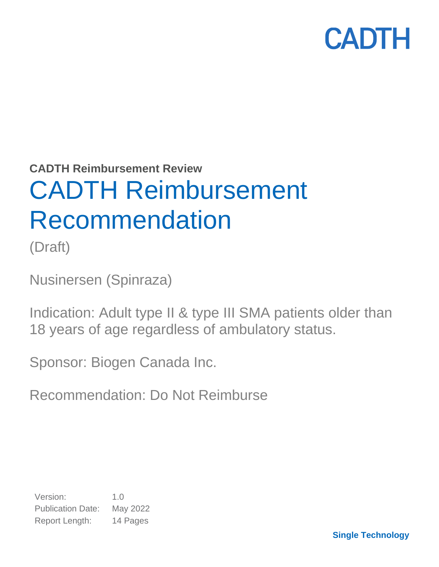

**CADTH Reimbursement Review**

# CADTH Reimbursement Recommendation

(Draft)

Nusinersen (Spinraza)

Indication: Adult type II & type III SMA patients older than 18 years of age regardless of ambulatory status.

Sponsor: Biogen Canada Inc.

Recommendation: Do Not Reimburse

Version: 1.0 Publication Date: May 2022 Report Length: 14 Pages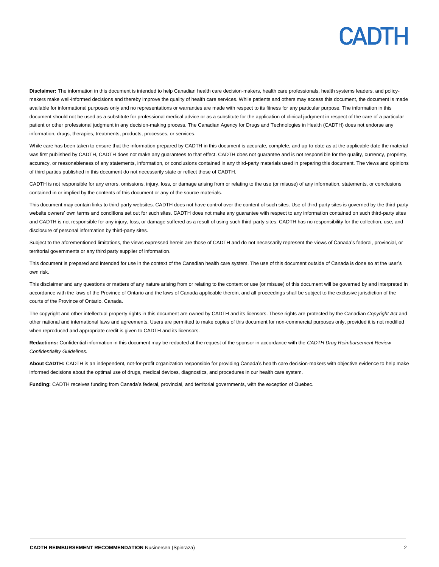**Disclaimer:** The information in this document is intended to help Canadian health care decision-makers, health care professionals, health systems leaders, and policymakers make well-informed decisions and thereby improve the quality of health care services. While patients and others may access this document, the document is made available for informational purposes only and no representations or warranties are made with respect to its fitness for any particular purpose. The information in this document should not be used as a substitute for professional medical advice or as a substitute for the application of clinical judgment in respect of the care of a particular patient or other professional judgment in any decision-making process. The Canadian Agency for Drugs and Technologies in Health (CADTH) does not endorse any information, drugs, therapies, treatments, products, processes, or services.

While care has been taken to ensure that the information prepared by CADTH in this document is accurate, complete, and up-to-date as at the applicable date the material was first published by CADTH, CADTH does not make any guarantees to that effect. CADTH does not guarantee and is not responsible for the quality, currency, propriety, accuracy, or reasonableness of any statements, information, or conclusions contained in any third-party materials used in preparing this document. The views and opinions of third parties published in this document do not necessarily state or reflect those of CADTH.

CADTH is not responsible for any errors, omissions, injury, loss, or damage arising from or relating to the use (or misuse) of any information, statements, or conclusions contained in or implied by the contents of this document or any of the source materials.

This document may contain links to third-party websites. CADTH does not have control over the content of such sites. Use of third-party sites is governed by the third-party website owners' own terms and conditions set out for such sites. CADTH does not make any guarantee with respect to any information contained on such third-party sites and CADTH is not responsible for any injury, loss, or damage suffered as a result of using such third-party sites. CADTH has no responsibility for the collection, use, and disclosure of personal information by third-party sites.

Subject to the aforementioned limitations, the views expressed herein are those of CADTH and do not necessarily represent the views of Canada's federal, provincial, or territorial governments or any third party supplier of information.

This document is prepared and intended for use in the context of the Canadian health care system. The use of this document outside of Canada is done so at the user's own risk.

This disclaimer and any questions or matters of any nature arising from or relating to the content or use (or misuse) of this document will be governed by and interpreted in accordance with the laws of the Province of Ontario and the laws of Canada applicable therein, and all proceedings shall be subject to the exclusive jurisdiction of the courts of the Province of Ontario, Canada.

The copyright and other intellectual property rights in this document are owned by CADTH and its licensors. These rights are protected by the Canadian *Copyright Act* and other national and international laws and agreements. Users are permitted to make copies of this document for non-commercial purposes only, provided it is not modified when reproduced and appropriate credit is given to CADTH and its licensors.

**Redactions:** Confidential information in this document may be redacted at the request of the sponsor in accordance with the *CADTH Drug Reimbursement Review Confidentiality Guidelines.*

**About CADTH:** CADTH is an independent, not-for-profit organization responsible for providing Canada's health care decision-makers with objective evidence to help make informed decisions about the optimal use of drugs, medical devices, diagnostics, and procedures in our health care system.

**Funding:** CADTH receives funding from Canada's federal, provincial, and territorial governments, with the exception of Quebec.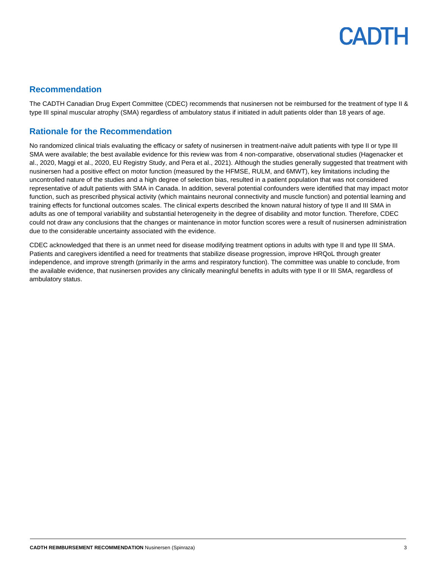### **Recommendation**

The CADTH Canadian Drug Expert Committee (CDEC) recommends that nusinersen not be reimbursed for the treatment of type II & type III spinal muscular atrophy (SMA) regardless of ambulatory status if initiated in adult patients older than 18 years of age.

## **Rationale for the Recommendation**

No randomized clinical trials evaluating the efficacy or safety of nusinersen in treatment-naïve adult patients with type II or type III SMA were available; the best available evidence for this review was from 4 non-comparative, observational studies (Hagenacker et al., 2020, Maggi et al., 2020, EU Registry Study, and Pera et al., 2021). Although the studies generally suggested that treatment with nusinersen had a positive effect on motor function (measured by the HFMSE, RULM, and 6MWT), key limitations including the uncontrolled nature of the studies and a high degree of selection bias, resulted in a patient population that was not considered representative of adult patients with SMA in Canada. In addition, several potential confounders were identified that may impact motor function, such as prescribed physical activity (which maintains neuronal connectivity and muscle function) and potential learning and training effects for functional outcomes scales. The clinical experts described the known natural history of type II and III SMA in adults as one of temporal variability and substantial heterogeneity in the degree of disability and motor function. Therefore, CDEC could not draw any conclusions that the changes or maintenance in motor function scores were a result of nusinersen administration due to the considerable uncertainty associated with the evidence.

CDEC acknowledged that there is an unmet need for disease modifying treatment options in adults with type II and type III SMA. Patients and caregivers identified a need for treatments that stabilize disease progression, improve HRQoL through greater independence, and improve strength (primarily in the arms and respiratory function). The committee was unable to conclude, from the available evidence, that nusinersen provides any clinically meaningful benefits in adults with type II or III SMA, regardless of ambulatory status.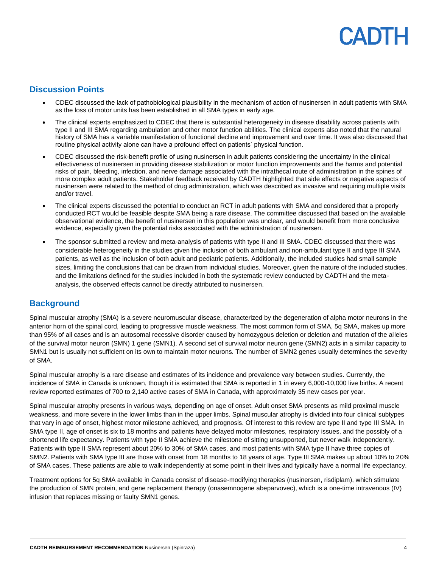## **Discussion Points**

- CDEC discussed the lack of pathobiological plausibility in the mechanism of action of nusinersen in adult patients with SMA as the loss of motor units has been established in all SMA types in early age.
- The clinical experts emphasized to CDEC that there is substantial heterogeneity in disease disability across patients with type II and III SMA regarding ambulation and other motor function abilities. The clinical experts also noted that the natural history of SMA has a variable manifestation of functional decline and improvement and over time. It was also discussed that routine physical activity alone can have a profound effect on patients' physical function.
- CDEC discussed the risk-benefit profile of using nusinersen in adult patients considering the uncertainty in the clinical effectiveness of nusinersen in providing disease stabilization or motor function improvements and the harms and potential risks of pain, bleeding, infection, and nerve damage associated with the intrathecal route of administration in the spines of more complex adult patients. Stakeholder feedback received by CADTH highlighted that side effects or negative aspects of nusinersen were related to the method of drug administration, which was described as invasive and requiring multiple visits and/or travel.
- The clinical experts discussed the potential to conduct an RCT in adult patients with SMA and considered that a properly conducted RCT would be feasible despite SMA being a rare disease. The committee discussed that based on the available observational evidence, the benefit of nusinersen in this population was unclear, and would benefit from more conclusive evidence, especially given the potential risks associated with the administration of nusinersen.
- The sponsor submitted a review and meta-analysis of patients with type II and III SMA. CDEC discussed that there was considerable heterogeneity in the studies given the inclusion of both ambulant and non-ambulant type II and type III SMA patients, as well as the inclusion of both adult and pediatric patients. Additionally, the included studies had small sample sizes, limiting the conclusions that can be drawn from individual studies. Moreover, given the nature of the included studies, and the limitations defined for the studies included in both the systematic review conducted by CADTH and the metaanalysis, the observed effects cannot be directly attributed to nusinersen.

## **Background**

Spinal muscular atrophy (SMA) is a severe neuromuscular disease, characterized by the degeneration of alpha motor neurons in the anterior horn of the spinal cord, leading to progressive muscle weakness. The most common form of SMA, 5q SMA, makes up more than 95% of all cases and is an autosomal recessive disorder caused by homozygous deletion or deletion and mutation of the alleles of the survival motor neuron (SMN) 1 gene (SMN1). A second set of survival motor neuron gene (SMN2) acts in a similar capacity to SMN1 but is usually not sufficient on its own to maintain motor neurons. The number of SMN2 genes usually determines the severity of SMA.

Spinal muscular atrophy is a rare disease and estimates of its incidence and prevalence vary between studies. Currently, the incidence of SMA in Canada is unknown, though it is estimated that SMA is reported in 1 in every 6,000-10,000 live births. A recent review reported estimates of 700 to 2,140 active cases of SMA in Canada, with approximately 35 new cases per year.

Spinal muscular atrophy presents in various ways, depending on age of onset. Adult onset SMA presents as mild proximal muscle weakness, and more severe in the lower limbs than in the upper limbs. Spinal muscular atrophy is divided into four clinical subtypes that vary in age of onset, highest motor milestone achieved, and prognosis. Of interest to this review are type II and type III SMA. In SMA type II, age of onset is six to 18 months and patients have delayed motor milestones, respiratory issues, and the possibly of a shortened life expectancy. Patients with type II SMA achieve the milestone of sitting unsupported, but never walk independently. Patients with type II SMA represent about 20% to 30% of SMA cases, and most patients with SMA type II have three copies of SMN2. Patients with SMA type III are those with onset from 18 months to 18 years of age. Type III SMA makes up about 10% to 20% of SMA cases. These patients are able to walk independently at some point in their lives and typically have a normal life expectancy.

Treatment options for 5q SMA available in Canada consist of disease-modifying therapies (nusinersen, risdiplam), which stimulate the production of SMN protein, and gene replacement therapy (onasemnogene abeparvovec), which is a one-time intravenous (IV) infusion that replaces missing or faulty SMN1 genes.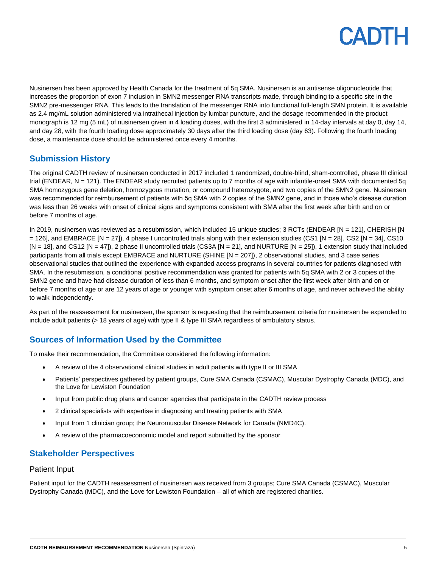Nusinersen has been approved by Health Canada for the treatment of 5q SMA. Nusinersen is an antisense oligonucleotide that increases the proportion of exon 7 inclusion in SMN2 messenger RNA transcripts made, through binding to a specific site in the SMN2 pre-messenger RNA. This leads to the translation of the messenger RNA into functional full-length SMN protein. It is available as 2.4 mg/mL solution administered via intrathecal injection by lumbar puncture, and the dosage recommended in the product monograph is 12 mg (5 mL) of nusinersen given in 4 loading doses, with the first 3 administered in 14-day intervals at day 0, day 14, and day 28, with the fourth loading dose approximately 30 days after the third loading dose (day 63). Following the fourth loading dose, a maintenance dose should be administered once every 4 months.

## **Submission History**

The original CADTH review of nusinersen conducted in 2017 included 1 randomized, double-blind, sham-controlled, phase III clinical trial (ENDEAR, N = 121). The ENDEAR study recruited patients up to 7 months of age with infantile-onset SMA with documented 5q SMA homozygous gene deletion, homozygous mutation, or compound heterozygote, and two copies of the SMN2 gene. Nusinersen was recommended for reimbursement of patients with 5q SMA with 2 copies of the SMN2 gene, and in those who's disease duration was less than 26 weeks with onset of clinical signs and symptoms consistent with SMA after the first week after birth and on or before 7 months of age.

In 2019, nusinersen was reviewed as a resubmission, which included 15 unique studies; 3 RCTs (ENDEAR [N = 121], CHERISH [N  $=$  126], and EMBRACE [N = 27]), 4 phase I uncontrolled trials along with their extension studies (CS1 [N = 28], CS2 [N = 34], CS10  $[N = 18]$ , and CS12  $[N = 47]$ , 2 phase II uncontrolled trials (CS3A  $[N = 21]$ , and NURTURE  $[N = 25]$ ), 1 extension study that included participants from all trials except EMBRACE and NURTURE (SHINE [N = 207]), 2 observational studies, and 3 case series observational studies that outlined the experience with expanded access programs in several countries for patients diagnosed with SMA. In the resubmission, a conditional positive recommendation was granted for patients with 5q SMA with 2 or 3 copies of the SMN2 gene and have had disease duration of less than 6 months, and symptom onset after the first week after birth and on or before 7 months of age or are 12 years of age or younger with symptom onset after 6 months of age, and never achieved the ability to walk independently.

As part of the reassessment for nusinersen, the sponsor is requesting that the reimbursement criteria for nusinersen be expanded to include adult patients (> 18 years of age) with type II & type III SMA regardless of ambulatory status.

## **Sources of Information Used by the Committee**

To make their recommendation, the Committee considered the following information:

- A review of the 4 observational clinical studies in adult patients with type II or III SMA
- Patients' perspectives gathered by patient groups, Cure SMA Canada (CSMAC), Muscular Dystrophy Canada (MDC), and the Love for Lewiston Foundation
- Input from public drug plans and cancer agencies that participate in the CADTH review process
- 2 clinical specialists with expertise in diagnosing and treating patients with SMA
- Input from 1 clinician group; the Neuromuscular Disease Network for Canada (NMD4C).
- A review of the pharmacoeconomic model and report submitted by the sponsor

## **Stakeholder Perspectives**

#### Patient Input

Patient input for the CADTH reassessment of nusinersen was received from 3 groups; Cure SMA Canada (CSMAC), Muscular Dystrophy Canada (MDC), and the Love for Lewiston Foundation – all of which are registered charities.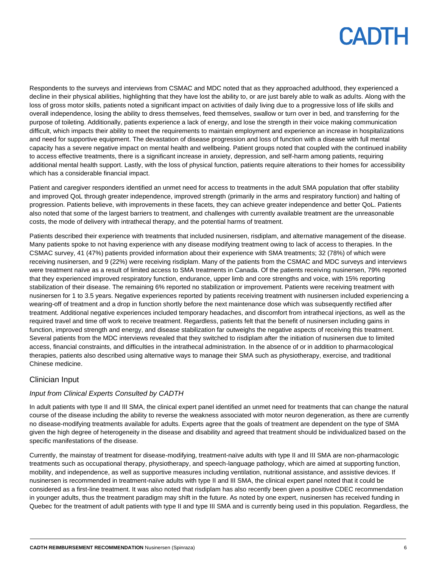Respondents to the surveys and interviews from CSMAC and MDC noted that as they approached adulthood, they experienced a decline in their physical abilities, highlighting that they have lost the ability to, or are just barely able to walk as adults. Along with the loss of gross motor skills, patients noted a significant impact on activities of daily living due to a progressive loss of life skills and overall independence, losing the ability to dress themselves, feed themselves, swallow or turn over in bed, and transferring for the purpose of toileting. Additionally, patients experience a lack of energy, and lose the strength in their voice making communication difficult, which impacts their ability to meet the requirements to maintain employment and experience an increase in hospitalizations and need for supportive equipment. The devastation of disease progression and loss of function with a disease with full mental capacity has a severe negative impact on mental health and wellbeing. Patient groups noted that coupled with the continued inability to access effective treatments, there is a significant increase in anxiety, depression, and self-harm among patients, requiring additional mental health support. Lastly, with the loss of physical function, patients require alterations to their homes for accessibility which has a considerable financial impact.

Patient and caregiver responders identified an unmet need for access to treatments in the adult SMA population that offer stability and improved QoL through greater independence, improved strength (primarily in the arms and respiratory function) and halting of progression. Patients believe, with improvements in these facets, they can achieve greater independence and better QoL. Patients also noted that some of the largest barriers to treatment, and challenges with currently available treatment are the unreasonable costs, the mode of delivery with intrathecal therapy, and the potential harms of treatment.

Patients described their experience with treatments that included nusinersen, risdiplam, and alternative management of the disease. Many patients spoke to not having experience with any disease modifying treatment owing to lack of access to therapies. In the CSMAC survey, 41 (47%) patients provided information about their experience with SMA treatments; 32 (78%) of which were receiving nusinersen, and 9 (22%) were receiving risdiplam. Many of the patients from the CSMAC and MDC surveys and interviews were treatment naïve as a result of limited access to SMA treatments in Canada. Of the patients receiving nusinersen, 79% reported that they experienced improved respiratory function, endurance, upper limb and core strengths and voice, with 15% reporting stabilization of their disease. The remaining 6% reported no stabilization or improvement. Patients were receiving treatment with nusinersen for 1 to 3.5 years. Negative experiences reported by patients receiving treatment with nusinersen included experiencing a wearing-off of treatment and a drop in function shortly before the next maintenance dose which was subsequently rectified after treatment. Additional negative experiences included temporary headaches, and discomfort from intrathecal injections, as well as the required travel and time off work to receive treatment. Regardless, patients felt that the benefit of nusinersen including gains in function, improved strength and energy, and disease stabilization far outweighs the negative aspects of receiving this treatment. Several patients from the MDC interviews revealed that they switched to risdiplam after the initiation of nusinersen due to limited access, financial constraints, and difficulties in the intrathecal administration. In the absence of or in addition to pharmacological therapies, patients also described using alternative ways to manage their SMA such as physiotherapy, exercise, and traditional Chinese medicine.

### Clinician Input

### *Input from Clinical Experts Consulted by CADTH*

In adult patients with type II and III SMA, the clinical expert panel identified an unmet need for treatments that can change the natural course of the disease including the ability to reverse the weakness associated with motor neuron degeneration, as there are currently no disease-modifying treatments available for adults. Experts agree that the goals of treatment are dependent on the type of SMA given the high degree of heterogeneity in the disease and disability and agreed that treatment should be individualized based on the specific manifestations of the disease.

Currently, the mainstay of treatment for disease-modifying, treatment-naïve adults with type II and III SMA are non-pharmacologic treatments such as occupational therapy, physiotherapy, and speech-language pathology, which are aimed at supporting function, mobility, and independence, as well as supportive measures including ventilation, nutritional assistance, and assistive devices. If nusinersen is recommended in treatment-naïve adults with type II and III SMA, the clinical expert panel noted that it could be considered as a first-line treatment. It was also noted that risdiplam has also recently been given a positive CDEC recommendation in younger adults, thus the treatment paradigm may shift in the future. As noted by one expert, nusinersen has received funding in Quebec for the treatment of adult patients with type II and type III SMA and is currently being used in this population. Regardless, the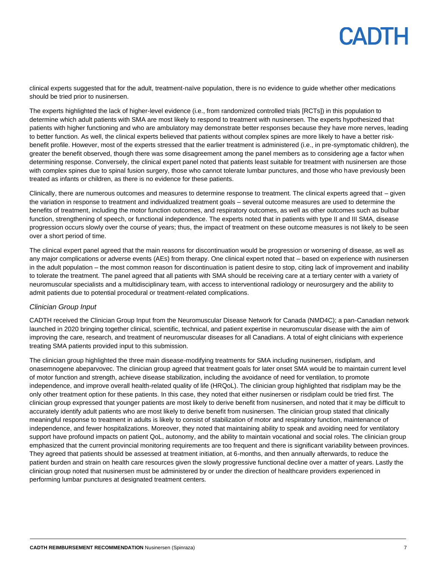clinical experts suggested that for the adult, treatment-naïve population, there is no evidence to guide whether other medications should be tried prior to nusinersen.

The experts highlighted the lack of higher-level evidence (i.e., from randomized controlled trials [RCTs]) in this population to determine which adult patients with SMA are most likely to respond to treatment with nusinersen. The experts hypothesized that patients with higher functioning and who are ambulatory may demonstrate better responses because they have more nerves, leading to better function. As well, the clinical experts believed that patients without complex spines are more likely to have a better riskbenefit profile. However, most of the experts stressed that the earlier treatment is administered (i.e., in pre-symptomatic children), the greater the benefit observed, though there was some disagreement among the panel members as to considering age a factor when determining response. Conversely, the clinical expert panel noted that patients least suitable for treatment with nusinersen are those with complex spines due to spinal fusion surgery, those who cannot tolerate lumbar punctures, and those who have previously been treated as infants or children, as there is no evidence for these patients.

Clinically, there are numerous outcomes and measures to determine response to treatment. The clinical experts agreed that – given the variation in response to treatment and individualized treatment goals – several outcome measures are used to determine the benefits of treatment, including the motor function outcomes, and respiratory outcomes, as well as other outcomes such as bulbar function, strengthening of speech, or functional independence. The experts noted that in patients with type II and III SMA, disease progression occurs slowly over the course of years; thus, the impact of treatment on these outcome measures is not likely to be seen over a short period of time.

The clinical expert panel agreed that the main reasons for discontinuation would be progression or worsening of disease, as well as any major complications or adverse events (AEs) from therapy. One clinical expert noted that – based on experience with nusinersen in the adult population – the most common reason for discontinuation is patient desire to stop, citing lack of improvement and inability to tolerate the treatment. The panel agreed that all patients with SMA should be receiving care at a tertiary center with a variety of neuromuscular specialists and a multidisciplinary team, with access to interventional radiology or neurosurgery and the ability to admit patients due to potential procedural or treatment-related complications.

#### *Clinician Group Input*

CADTH received the Clinician Group Input from the Neuromuscular Disease Network for Canada (NMD4C); a pan-Canadian network launched in 2020 bringing together clinical, scientific, technical, and patient expertise in neuromuscular disease with the aim of improving the care, research, and treatment of neuromuscular diseases for all Canadians. A total of eight clinicians with experience treating SMA patients provided input to this submission.

The clinician group highlighted the three main disease-modifying treatments for SMA including nusinersen, risdiplam, and onasemnogene abeparvovec. The clinician group agreed that treatment goals for later onset SMA would be to maintain current level of motor function and strength, achieve disease stabilization, including the avoidance of need for ventilation, to promote independence, and improve overall health-related quality of life (HRQoL). The clinician group highlighted that risdiplam may be the only other treatment option for these patients. In this case, they noted that either nusinersen or risdiplam could be tried first. The clinician group expressed that younger patients are most likely to derive benefit from nusinersen, and noted that it may be difficult to accurately identify adult patients who are most likely to derive benefit from nusinersen. The clinician group stated that clinically meaningful response to treatment in adults is likely to consist of stabilization of motor and respiratory function, maintenance of independence, and fewer hospitalizations. Moreover, they noted that maintaining ability to speak and avoiding need for ventilatory support have profound impacts on patient QoL, autonomy, and the ability to maintain vocational and social roles. The clinician group emphasized that the current provincial monitoring requirements are too frequent and there is significant variability between provinces. They agreed that patients should be assessed at treatment initiation, at 6-months, and then annually afterwards, to reduce the patient burden and strain on health care resources given the slowly progressive functional decline over a matter of years. Lastly the clinician group noted that nusinersen must be administered by or under the direction of healthcare providers experienced in performing lumbar punctures at designated treatment centers.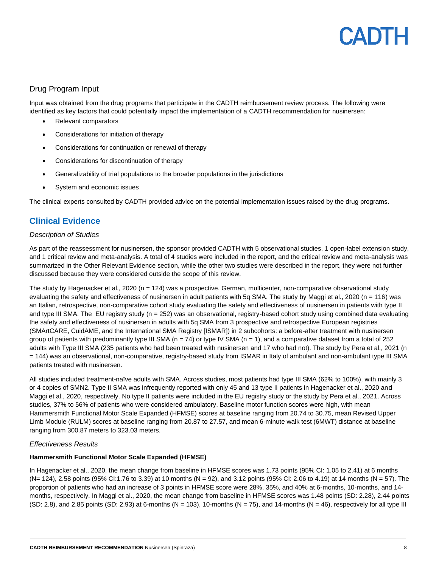### Drug Program Input

Input was obtained from the drug programs that participate in the CADTH reimbursement review process. The following were identified as key factors that could potentially impact the implementation of a CADTH recommendation for nusinersen:

- Relevant comparators
- Considerations for initiation of therapy
- Considerations for continuation or renewal of therapy
- Considerations for discontinuation of therapy
- Generalizability of trial populations to the broader populations in the jurisdictions
- System and economic issues

The clinical experts consulted by CADTH provided advice on the potential implementation issues raised by the drug programs.

## **Clinical Evidence**

#### *Description of Studies*

As part of the reassessment for nusinersen, the sponsor provided CADTH with 5 observational studies, 1 open-label extension study, and 1 critical review and meta-analysis. A total of 4 studies were included in the report, and the critical review and meta-analysis was summarized in the Other Relevant Evidence section, while the other two studies were described in the report, they were not further discussed because they were considered outside the scope of this review.

The study by Hagenacker et al., 2020 (n = 124) was a prospective, German, multicenter, non-comparative observational study evaluating the safety and effectiveness of nusinersen in adult patients with 5g SMA. The study by Maggi et al., 2020 (n = 116) was an Italian, retrospective, non-comparative cohort study evaluating the safety and effectiveness of nusinersen in patients with type II and type III SMA. The EU registry study (n = 252) was an observational, registry-based cohort study using combined data evaluating the safety and effectiveness of nusinersen in adults with 5q SMA from 3 prospective and retrospective European registries (SMArtCARE, CuidAME, and the International SMA Registry [ISMAR]) in 2 subcohorts: a before-after treatment with nusinersen group of patients with predominantly type III SMA ( $n = 74$ ) or type IV SMA ( $n = 1$ ), and a comparative dataset from a total of 252 adults with Type III SMA (235 patients who had been treated with nusinersen and 17 who had not). The study by Pera et al., 2021 (n = 144) was an observational, non-comparative, registry-based study from ISMAR in Italy of ambulant and non-ambulant type III SMA patients treated with nusinersen.

All studies included treatment-naïve adults with SMA. Across studies, most patients had type III SMA (62% to 100%), with mainly 3 or 4 copies of SMN2. Type II SMA was infrequently reported with only 45 and 13 type II patients in Hagenacker et al., 2020 and Maggi et al., 2020, respectively. No type II patients were included in the EU registry study or the study by Pera et al., 2021. Across studies, 37% to 56% of patients who were considered ambulatory. Baseline motor function scores were high, with mean Hammersmith Functional Motor Scale Expanded (HFMSE) scores at baseline ranging from 20.74 to 30.75, mean Revised Upper Limb Module (RULM) scores at baseline ranging from 20.87 to 27.57, and mean 6-minute walk test (6MWT) distance at baseline ranging from 300.87 meters to 323.03 meters.

#### *Effectiveness Results*

#### **Hammersmith Functional Motor Scale Expanded (HFMSE)**

In Hagenacker et al., 2020, the mean change from baseline in HFMSE scores was 1.73 points (95% CI: 1.05 to 2.41) at 6 months (N= 124), 2.58 points (95% CI:1.76 to 3.39) at 10 months (N = 92), and 3.12 points (95% CI: 2.06 to 4.19) at 14 months (N = 57). The proportion of patients who had an increase of 3 points in HFMSE score were 28%, 35%, and 40% at 6-months, 10-months, and 14 months, respectively. In Maggi et al., 2020, the mean change from baseline in HFMSE scores was 1.48 points (SD: 2.28), 2.44 points  $(SD: 2.8)$ , and 2.85 points  $(SD: 2.93)$  at 6-months  $(N = 103)$ , 10-months  $(N = 75)$ , and 14-months  $(N = 46)$ , respectively for all type III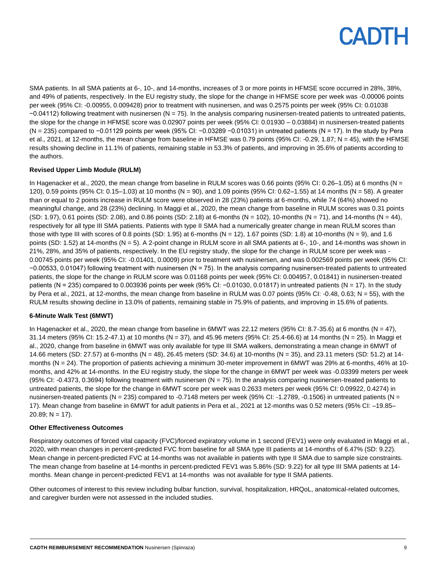SMA patients. In all SMA patients at 6-, 10-, and 14-months, increases of 3 or more points in HFMSE score occurred in 28%, 38%, and 49% of patients, respectively. In the EU registry study, the slope for the change in HFMSE score per week was -0.00006 points per week (95% CI: -0.00955, 0.009428) prior to treatment with nusinersen, and was 0.2575 points per week (95% CI: 0.01038 −0.04112) following treatment with nusinersen (N = 75). In the analysis comparing nusinersen-treated patients to untreated patients, the slope for the change in HFMSE score was 0.02907 points per week (95% CI: 0.01930 – 0.03884) in nusinersen-treated patients (N = 235) compared to −0.01129 points per week (95% CI: −0.03289 −0.01031) in untreated patients (N = 17). In the study by Pera et al., 2021, at 12-months, the mean change from baseline in HFMSE was 0.79 points (95% CI: -0.29, 1.87; N = 45), with the HFMSE results showing decline in 11.1% of patients, remaining stable in 53.3% of patients, and improving in 35.6% of patients according to the authors.

#### **Revised Upper Limb Module (RULM)**

In Hagenacker et al., 2020, the mean change from baseline in RULM scores was 0.66 points (95% CI: 0.26–1.05) at 6 months (N = 120), 0.59 points (95% CI: 0.15–1.03) at 10 months (N = 90), and 1.09 points (95% CI: 0.62–1.55) at 14 months (N = 58). A greater than or equal to 2 points increase in RULM score were observed in 28 (23%) patients at 6-months, while 74 (64%) showed no meaningful change, and 28 (23%) declining. In Maggi et al., 2020, the mean change from baseline in RULM scores was 0.31 points (SD: 1.97), 0.61 points (SD: 2.08), and 0.86 points (SD: 2.18) at 6-months (N = 102), 10-months (N = 71), and 14-months (N = 44), respectively for all type III SMA patients. Patients with type II SMA had a numerically greater change in mean RULM scores than those with type III with scores of 0.8 points (SD: 1.95) at 6-months (N = 12), 1.67 points (SD: 1.8) at 10-months (N = 9), and 1.6 points (SD: 1.52) at 14-months (N = 5). A 2-point change in RULM score in all SMA patients at 6-, 10-, and 14-months was shown in 21%, 28%, and 35% of patients, respectively. In the EU registry study, the slope for the change in RULM score per week was - 0.00745 points per week (95% CI: -0.01401, 0.0009) prior to treatment with nusinersen, and was 0.002569 points per week (95% CI: −0.00533, 0.01047) following treatment with nusinersen (N = 75). In the analysis comparing nusinersen-treated patients to untreated patients, the slope for the change in RULM score was 0.01168 points per week (95% CI: 0.004957, 0.01841) in nusinersen-treated patients (N = 235) compared to 0.003936 points per week (95% CI: -0.01030, 0.01817) in untreated patients (N = 17). In the study by Pera et al., 2021, at 12-months, the mean change from baseline in RULM was 0.07 points (95% CI: -0.48, 0.63; N = 55), with the RULM results showing decline in 13.0% of patients, remaining stable in 75.9% of patients, and improving in 15.6% of patients.

#### **6-Minute Walk Test (6MWT)**

In Hagenacker et al., 2020, the mean change from baseline in 6MWT was 22.12 meters (95% CI: 8.7-35.6) at 6 months (N = 47), 31.14 meters (95% CI: 15.2-47.1) at 10 months (N = 37), and 45.96 meters (95% CI: 25.4-66.6) at 14 months (N = 25). In Maggi et al., 2020, change from baseline in 6MWT was only available for type III SMA walkers, demonstrating a mean change in 6MWT of 14.66 meters (SD: 27.57) at 6-months (N = 48), 26.45 meters (SD: 34.6) at 10-months (N = 35), and 23.11 meters (SD: 51.2) at 14 months (N = 24). The proportion of patients achieving a minimum 30-meter improvement in 6MWT was 29% at 6-months, 46% at 10 months, and 42% at 14-months. In the EU registry study, the slope for the change in 6MWT per week was -0.03399 meters per week (95% CI: -0.4373, 0.3694) following treatment with nusinersen (N = 75). In the analysis comparing nusinersen-treated patients to untreated patients, the slope for the change in 6MWT score per week was 0.2633 meters per week (95% CI: 0.09922, 0.4274) in nusinersen-treated patients (N = 235) compared to -0.7148 meters per week (95% CI: -1.2789, -0.1506) in untreated patients (N = 17). Mean change from baseline in 6MWT for adult patients in Pera et al., 2021 at 12-months was 0.52 meters (95% CI: –19.85– 20.89;  $N = 17$ ).

#### **Other Effectiveness Outcomes**

Respiratory outcomes of forced vital capacity (FVC)/forced expiratory volume in 1 second (FEV1) were only evaluated in Maggi et al., 2020, with mean changes in percent-predicted FVC from baseline for all SMA type III patients at 14-months of 6.47% (SD: 9.22). Mean change in percent-predicted FVC at 14-months was not available in patients with type II SMA due to sample size constraints. The mean change from baseline at 14-months in percent-predicted FEV1 was 5.86% (SD: 9.22) for all type III SMA patients at 14 months. Mean change in percent-predicted FEV1 at 14-months was not available for type II SMA patients.

Other outcomes of interest to this review including bulbar function, survival, hospitalization, HRQoL, anatomical-related outcomes, and caregiver burden were not assessed in the included studies.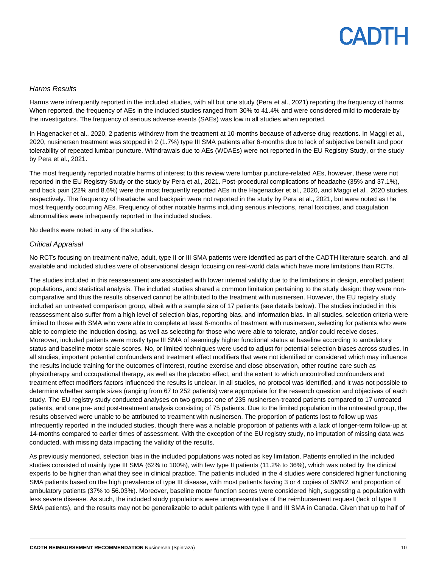#### *Harms Results*

Harms were infrequently reported in the included studies, with all but one study (Pera et al., 2021) reporting the frequency of harms. When reported, the frequency of AEs in the included studies ranged from 30% to 41.4% and were considered mild to moderate by the investigators. The frequency of serious adverse events (SAEs) was low in all studies when reported.

In Hagenacker et al., 2020, 2 patients withdrew from the treatment at 10-months because of adverse drug reactions. In Maggi et al., 2020, nusinersen treatment was stopped in 2 (1.7%) type III SMA patients after 6-months due to lack of subjective benefit and poor tolerability of repeated lumbar puncture. Withdrawals due to AEs (WDAEs) were not reported in the EU Registry Study, or the study by Pera et al., 2021.

The most frequently reported notable harms of interest to this review were lumbar puncture-related AEs, however, these were not reported in the EU Registry Study or the study by Pera et al., 2021. Post-procedural complications of headache (35% and 37.1%), and back pain (22% and 8.6%) were the most frequently reported AEs in the Hagenacker et al., 2020, and Maggi et al., 2020 studies, respectively. The frequency of headache and backpain were not reported in the study by Pera et al., 2021, but were noted as the most frequently occurring AEs. Frequency of other notable harms including serious infections, renal toxicities, and coagulation abnormalities were infrequently reported in the included studies.

No deaths were noted in any of the studies.

#### *Critical Appraisal*

No RCTs focusing on treatment-naïve, adult, type II or III SMA patients were identified as part of the CADTH literature search, and all available and included studies were of observational design focusing on real-world data which have more limitations than RCTs.

The studies included in this reassessment are associated with lower internal validity due to the limitations in design, enrolled patient populations, and statistical analysis. The included studies shared a common limitation pertaining to the study design: they were noncomparative and thus the results observed cannot be attributed to the treatment with nusinersen. However, the EU registry study included an untreated comparison group, albeit with a sample size of 17 patients (see details below). The studies included in this reassessment also suffer from a high level of selection bias, reporting bias, and information bias. In all studies, selection criteria were limited to those with SMA who were able to complete at least 6-months of treatment with nusinersen, selecting for patients who were able to complete the induction dosing, as well as selecting for those who were able to tolerate, and/or could receive doses. Moreover, included patients were mostly type III SMA of seemingly higher functional status at baseline according to ambulatory status and baseline motor scale scores. No, or limited techniques were used to adjust for potential selection biases across studies. In all studies, important potential confounders and treatment effect modifiers that were not identified or considered which may influence the results include training for the outcomes of interest, routine exercise and close observation, other routine care such as physiotherapy and occupational therapy, as well as the placebo effect, and the extent to which uncontrolled confounders and treatment effect modifiers factors influenced the results is unclear. In all studies, no protocol was identified, and it was not possible to determine whether sample sizes (ranging from 67 to 252 patients) were appropriate for the research question and objectives of each study. The EU registry study conducted analyses on two groups: one of 235 nusinersen-treated patients compared to 17 untreated patients, and one pre- and post-treatment analysis consisting of 75 patients. Due to the limited population in the untreated group, the results observed were unable to be attributed to treatment with nusinersen. The proportion of patients lost to follow up was infrequently reported in the included studies, though there was a notable proportion of patients with a lack of longer-term follow-up at 14-months compared to earlier times of assessment. With the exception of the EU registry study, no imputation of missing data was conducted, with missing data impacting the validity of the results.

As previously mentioned, selection bias in the included populations was noted as key limitation. Patients enrolled in the included studies consisted of mainly type III SMA (62% to 100%), with few type II patients (11.2% to 36%), which was noted by the clinical experts to be higher than what they see in clinical practice. The patients included in the 4 studies were considered higher functioning SMA patients based on the high prevalence of type III disease, with most patients having 3 or 4 copies of SMN2, and proportion of ambulatory patients (37% to 56.03%). Moreover, baseline motor function scores were considered high, suggesting a population with less severe disease. As such, the included study populations were unrepresentative of the reimbursement request (lack of type II SMA patients), and the results may not be generalizable to adult patients with type II and III SMA in Canada. Given that up to half of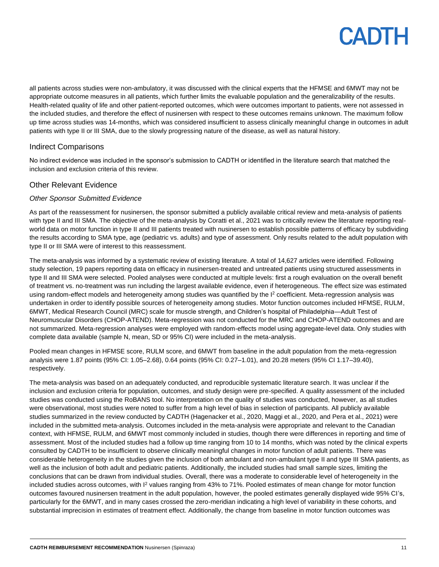all patients across studies were non-ambulatory, it was discussed with the clinical experts that the HFMSE and 6MWT may not be appropriate outcome measures in all patients, which further limits the evaluable population and the generalizability of the results. Health-related quality of life and other patient-reported outcomes, which were outcomes important to patients, were not assessed in the included studies, and therefore the effect of nusinersen with respect to these outcomes remains unknown. The maximum follow up time across studies was 14-months, which was considered insufficient to assess clinically meaningful change in outcomes in adult patients with type II or III SMA, due to the slowly progressing nature of the disease, as well as natural history.

### Indirect Comparisons

No indirect evidence was included in the sponsor's submission to CADTH or identified in the literature search that matched the inclusion and exclusion criteria of this review.

### Other Relevant Evidence

#### *Other Sponsor Submitted Evidence*

As part of the reassessment for nusinersen, the sponsor submitted a publicly available critical review and meta-analysis of patients with type II and III SMA. The objective of the meta-analysis by Coratti et al., 2021 was to critically review the literature reporting realworld data on motor function in type II and III patients treated with nusinersen to establish possible patterns of efficacy by subdividing the results according to SMA type, age (pediatric vs. adults) and type of assessment. Only results related to the adult population with type II or III SMA were of interest to this reassessment.

The meta-analysis was informed by a systematic review of existing literature. A total of 14,627 articles were identified. Following study selection, 19 papers reporting data on efficacy in nusinersen-treated and untreated patients using structured assessments in type II and III SMA were selected. Pooled analyses were conducted at multiple levels: first a rough evaluation on the overall benefit of treatment vs. no-treatment was run including the largest available evidence, even if heterogeneous. The effect size was estimated using random-effect models and heterogeneity among studies was quantified by the I<sup>2</sup> coefficient. Meta-regression analysis was undertaken in order to identify possible sources of heterogeneity among studies. Motor function outcomes included HFMSE, RULM, 6MWT, Medical Research Council (MRC) scale for muscle strength, and Children's hospital of Philadelphia—Adult Test of Neuromuscular Disorders (CHOP-ATEND). Meta-regression was not conducted for the MRC and CHOP-ATEND outcomes and are not summarized. Meta-regression analyses were employed with random-effects model using aggregate-level data. Only studies with complete data available (sample N, mean, SD or 95% CI) were included in the meta-analysis.

Pooled mean changes in HFMSE score, RULM score, and 6MWT from baseline in the adult population from the meta-regression analysis were 1.87 points (95% CI: 1.05–2.68), 0.64 points (95% CI: 0.27–1.01), and 20.28 meters (95% CI 1.17–39.40), respectively.

The meta-analysis was based on an adequately conducted, and reproducible systematic literature search. It was unclear if the inclusion and exclusion criteria for population, outcomes, and study design were pre-specified. A quality assessment of the included studies was conducted using the RoBANS tool. No interpretation on the quality of studies was conducted, however, as all studies were observational, most studies were noted to suffer from a high level of bias in selection of participants. All publicly available studies summarized in the review conducted by CADTH (Hagenacker et al., 2020, Maggi et al., 2020, and Pera et al., 2021) were included in the submitted meta-analysis. Outcomes included in the meta-analysis were appropriate and relevant to the Canadian context, with HFMSE, RULM, and 6MWT most commonly included in studies, though there were differences in reporting and time of assessment. Most of the included studies had a follow up time ranging from 10 to 14 months, which was noted by the clinical experts consulted by CADTH to be insufficient to observe clinically meaningful changes in motor function of adult patients. There was considerable heterogeneity in the studies given the inclusion of both ambulant and non-ambulant type II and type III SMA patients, as well as the inclusion of both adult and pediatric patients. Additionally, the included studies had small sample sizes, limiting the conclusions that can be drawn from individual studies. Overall, there was a moderate to considerable level of heterogeneity in the included studies across outcomes, with I<sup>2</sup> values ranging from 43% to 71%. Pooled estimates of mean change for motor function outcomes favoured nusinersen treatment in the adult population, however, the pooled estimates generally displayed wide 95% CI's, particularly for the 6MWT, and in many cases crossed the zero-meridian indicating a high level of variability in these cohorts, and substantial imprecision in estimates of treatment effect. Additionally, the change from baseline in motor function outcomes was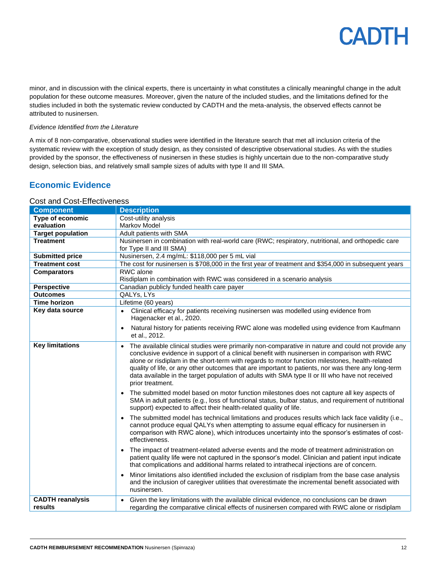minor, and in discussion with the clinical experts, there is uncertainty in what constitutes a clinically meaningful change in the adult population for these outcome measures. Moreover, given the nature of the included studies, and the limitations defined for the studies included in both the systematic review conducted by CADTH and the meta-analysis, the observed effects cannot be attributed to nusinersen.

#### *Evidence Identified from the Literature*

A mix of 8 non-comparative, observational studies were identified in the literature search that met all inclusion criteria of the systematic review with the exception of study design, as they consisted of descriptive observational studies. As with the studies provided by the sponsor, the effectiveness of nusinersen in these studies is highly uncertain due to the non-comparative study design, selection bias, and relatively small sample sizes of adults with type II and III SMA.

## **Economic Evidence**

### Cost and Cost-Effectiveness

| <b>Component</b>                   | <b>Description</b>                                                                                                                                                                                                                                                                                                                                                                                                                                                                                                                           |
|------------------------------------|----------------------------------------------------------------------------------------------------------------------------------------------------------------------------------------------------------------------------------------------------------------------------------------------------------------------------------------------------------------------------------------------------------------------------------------------------------------------------------------------------------------------------------------------|
| <b>Type of economic</b>            | Cost-utility analysis                                                                                                                                                                                                                                                                                                                                                                                                                                                                                                                        |
| evaluation                         | Markov Model                                                                                                                                                                                                                                                                                                                                                                                                                                                                                                                                 |
| <b>Target population</b>           | Adult patients with SMA                                                                                                                                                                                                                                                                                                                                                                                                                                                                                                                      |
| <b>Treatment</b>                   | Nusinersen in combination with real-world care (RWC; respiratory, nutritional, and orthopedic care                                                                                                                                                                                                                                                                                                                                                                                                                                           |
|                                    | for Type II and III SMA)                                                                                                                                                                                                                                                                                                                                                                                                                                                                                                                     |
| <b>Submitted price</b>             | Nusinersen, 2.4 mg/mL: \$118,000 per 5 mL vial                                                                                                                                                                                                                                                                                                                                                                                                                                                                                               |
| <b>Treatment cost</b>              | The cost for nusinersen is \$708,000 in the first year of treatment and \$354,000 in subsequent years                                                                                                                                                                                                                                                                                                                                                                                                                                        |
| <b>Comparators</b>                 | RWC alone                                                                                                                                                                                                                                                                                                                                                                                                                                                                                                                                    |
|                                    | Risdiplam in combination with RWC was considered in a scenario analysis                                                                                                                                                                                                                                                                                                                                                                                                                                                                      |
| <b>Perspective</b>                 | Canadian publicly funded health care payer                                                                                                                                                                                                                                                                                                                                                                                                                                                                                                   |
| <b>Outcomes</b>                    | QALYs, LYs                                                                                                                                                                                                                                                                                                                                                                                                                                                                                                                                   |
| Time horizon                       | Lifetime (60 years)                                                                                                                                                                                                                                                                                                                                                                                                                                                                                                                          |
| Key data source                    | Clinical efficacy for patients receiving nusinersen was modelled using evidence from<br>$\bullet$<br>Hagenacker et al., 2020.                                                                                                                                                                                                                                                                                                                                                                                                                |
|                                    | Natural history for patients receiving RWC alone was modelled using evidence from Kaufmann<br>et al., 2012.                                                                                                                                                                                                                                                                                                                                                                                                                                  |
| <b>Key limitations</b>             | The available clinical studies were primarily non-comparative in nature and could not provide any<br>$\bullet$<br>conclusive evidence in support of a clinical benefit with nusinersen in comparison with RWC<br>alone or risdiplam in the short-term with regards to motor function milestones, health-related<br>quality of life, or any other outcomes that are important to patients, nor was there any long-term<br>data available in the target population of adults with SMA type II or III who have not received<br>prior treatment. |
|                                    | The submitted model based on motor function milestones does not capture all key aspects of<br>SMA in adult patients (e.g., loss of functional status, bulbar status, and requirement of nutritional<br>support) expected to affect their health-related quality of life.                                                                                                                                                                                                                                                                     |
|                                    | The submitted model has technical limitations and produces results which lack face validity (i.e.,<br>$\bullet$<br>cannot produce equal QALYs when attempting to assume equal efficacy for nusinersen in<br>comparison with RWC alone), which introduces uncertainty into the sponsor's estimates of cost-<br>effectiveness.                                                                                                                                                                                                                 |
|                                    | The impact of treatment-related adverse events and the mode of treatment administration on<br>patient quality life were not captured in the sponsor's model. Clinician and patient input indicate<br>that complications and additional harms related to intrathecal injections are of concern.                                                                                                                                                                                                                                               |
|                                    | Minor limitations also identified included the exclusion of risdiplam from the base case analysis<br>$\bullet$<br>and the inclusion of caregiver utilities that overestimate the incremental benefit associated with<br>nusinersen.                                                                                                                                                                                                                                                                                                          |
| <b>CADTH reanalysis</b><br>results | Given the key limitations with the available clinical evidence, no conclusions can be drawn<br>$\bullet$<br>regarding the comparative clinical effects of nusinersen compared with RWC alone or risdiplam                                                                                                                                                                                                                                                                                                                                    |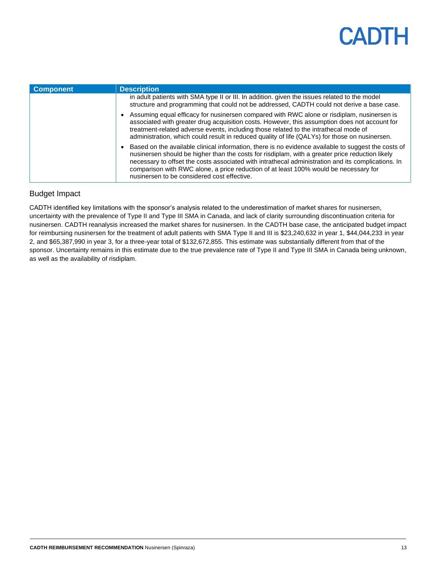| <b>Component</b> | <b>Description</b>                                                                                                                                                                                                                                                                                                                                                                                                                                    |
|------------------|-------------------------------------------------------------------------------------------------------------------------------------------------------------------------------------------------------------------------------------------------------------------------------------------------------------------------------------------------------------------------------------------------------------------------------------------------------|
|                  | in adult patients with SMA type II or III. In addition, given the issues related to the model<br>structure and programming that could not be addressed, CADTH could not derive a base case.                                                                                                                                                                                                                                                           |
|                  | • Assuming equal efficacy for nusinersen compared with RWC alone or risdiplam, nusinersen is<br>associated with greater drug acquisition costs. However, this assumption does not account for<br>treatment-related adverse events, including those related to the intrathecal mode of<br>administration, which could result in reduced quality of life (QALYs) for those on nusinersen.                                                               |
|                  | • Based on the available clinical information, there is no evidence available to suggest the costs of<br>nusinersen should be higher than the costs for risdiplam, with a greater price reduction likely<br>necessary to offset the costs associated with intrathecal administration and its complications. In<br>comparison with RWC alone, a price reduction of at least 100% would be necessary for<br>nusinersen to be considered cost effective. |

### Budget Impact

CADTH identified key limitations with the sponsor's analysis related to the underestimation of market shares for nusinersen, uncertainty with the prevalence of Type II and Type III SMA in Canada, and lack of clarity surrounding discontinuation criteria for nusinersen. CADTH reanalysis increased the market shares for nusinersen. In the CADTH base case, the anticipated budget impact for reimbursing nusinersen for the treatment of adult patients with SMA Type II and III is \$23,240,632 in year 1, \$44,044,233 in year 2, and \$65,387,990 in year 3, for a three-year total of \$132,672,855. This estimate was substantially different from that of the sponsor. Uncertainty remains in this estimate due to the true prevalence rate of Type II and Type III SMA in Canada being unknown, as well as the availability of risdiplam.